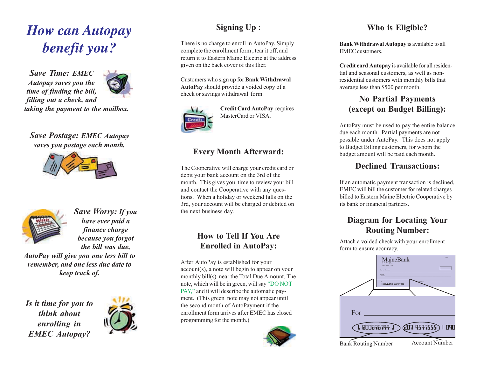# *How can Autopay benefit you?*

*Save Time: EMEC Autopay saves you the time of finding the bill, filling out a check, and taking the payment to the mailbox.*



*Save Postage: EMEC Autopay saves you postage each month.*





*Save Worry: If you have ever paid a finance charge because you forgot the bill was due, AutoPay will give you one less bill to remember, and one less due date to keep track of.*

*Is it time for you to think about enrolling in EMEC Autopay?*



# **Signing Up :**

There is no charge to enroll in AutoPay. Simply complete the enrollment form , tear it off, and return it to Eastern Maine Electric at the address given on the back cover of this flier.

Customers who sign up for **Bank Withdrawal AutoPay** should provide a voided copy of a check or savings withdrawal form.



**Credit Card AutoPay** requires MasterCard or VISA.

### **Every Month Afterward:**

The Cooperative will charge your credit card or debit your bank account on the 3rd of the month. This gives you time to review your bill and contact the Cooperative with any questions. When a holiday or weekend falls on the 3rd, your account will be charged or debited on the next business day.

#### **How to Tell If You Are Enrolled in AutoPay:**

After AutoPay is established for your account(s), a note will begin to appear on your monthly bill(s) near the Total Due Amount. The note, which will be in green, will say "DO NOT PAY," and it will describe the automatic payment. (This green note may not appear until the second month of AutoPayment if the enrollment form arrives after EMEC has closed programming for the month.)



## **Who is Eligible?**

**Bank Withdrawal Autopay** is available to all EMEC customers.

**Credit card Autopay** is available for all residential and seasonal customers, as well as nonresidential customers with monthly bills that average less than \$500 per month.

### **No Partial Payments (except on Budget Billing):**

AutoPay must be used to pay the entire balance due each month. Partial payments are not possible under AutoPay. This does not apply to Budget Billing customers, for whom the budget amount will be paid each month.

#### **Declined Transactions:**

If an automatic payment transaction is declined, EMEC will bill the customer for related charges billed to Eastern Maine Electric Cooperative by its bank or financial partners.

## **Diagram for Locating Your Routing Number:**

Attach a voided check with your enrollment form to ensure accuracy.